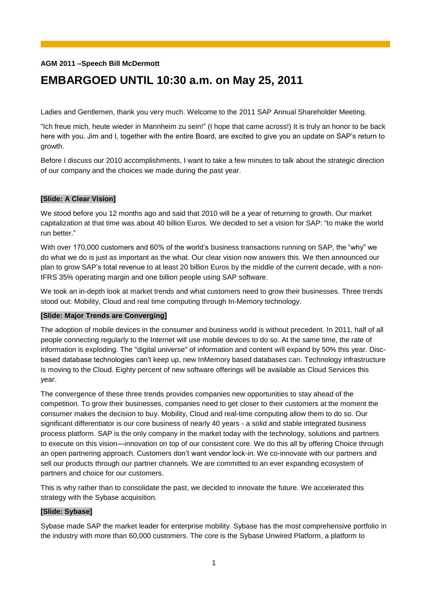## **AGM 2011 –Speech Bill McDermott**

# **EMBARGOED UNTIL 10:30 a.m. on May 25, 2011**

Ladies and Gentlemen, thank you very much. Welcome to the 2011 SAP Annual Shareholder Meeting.

―Ich freue mich, heute wieder in Mannheim zu sein!‖ (I hope that came across!) It is truly an honor to be back here with you. Jim and I, together with the entire Board, are excited to give you an update on SAP's return to growth.

Before I discuss our 2010 accomplishments, I want to take a few minutes to talk about the strategic direction of our company and the choices we made during the past year.

## **[Slide: A Clear Vision]**

We stood before you 12 months ago and said that 2010 will be a year of returning to growth. Our market capitalization at that time was about 40 billion Euros. We decided to set a vision for SAP: "to make the world run better."

With over 170,000 customers and 60% of the world's business transactions running on SAP, the "why" we do what we do is just as important as the what. Our clear vision now answers this. We then announced our plan to grow SAP's total revenue to at least 20 billion Euros by the middle of the current decade, with a non-IFRS 35% operating margin and one billion people using SAP software.

We took an in-depth look at market trends and what customers need to grow their businesses. Three trends stood out: Mobility, Cloud and real time computing through In-Memory technology.

## **[Slide: Major Trends are Converging]**

The adoption of mobile devices in the consumer and business world is without precedent. In 2011, half of all people connecting regularly to the Internet will use mobile devices to do so. At the same time, the rate of information is exploding. The "digital universe" of information and content will expand by 50% this year. Discbased database technologies can't keep up, new InMemory based databases can. Technology infrastructure is moving to the Cloud. Eighty percent of new software offerings will be available as Cloud Services this year.

The convergence of these three trends provides companies new opportunities to stay ahead of the competition. To grow their businesses, companies need to get closer to their customers at the moment the consumer makes the decision to buy. Mobility, Cloud and real-time computing allow them to do so. Our significant differentiator is our core business of nearly 40 years - a solid and stable integrated business process platform. SAP is the only company in the market today with the technology, solutions and partners to execute on this vision—innovation on top of our consistent core. We do this all by offering Choice through an open partnering approach. Customers don't want vendor lock-in. We co-innovate with our partners and sell our products through our partner channels. We are committed to an ever expanding ecosystem of partners and choice for our customers.

This is why rather than to consolidate the past, we decided to innovate the future. We accelerated this strategy with the Sybase acquisition.

## **[Slide: Sybase]**

Sybase made SAP the market leader for enterprise mobility. Sybase has the most comprehensive portfolio in the industry with more than 60,000 customers. The core is the Sybase Unwired Platform, a platform to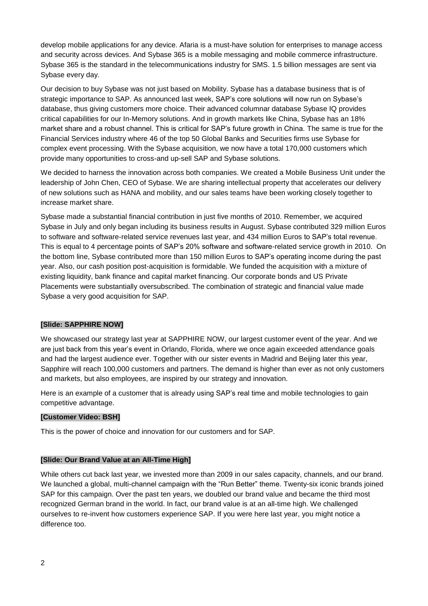develop mobile applications for any device. Afaria is a must-have solution for enterprises to manage access and security across devices. And Sybase 365 is a mobile messaging and mobile commerce infrastructure. Sybase 365 is the standard in the telecommunications industry for SMS. 1.5 billion messages are sent via Sybase every day.

Our decision to buy Sybase was not just based on Mobility. Sybase has a database business that is of strategic importance to SAP. As announced last week, SAP's core solutions will now run on Sybase's database, thus giving customers more choice. Their advanced columnar database Sybase IQ provides critical capabilities for our In-Memory solutions. And in growth markets like China, Sybase has an 18% market share and a robust channel. This is critical for SAP's future growth in China. The same is true for the Financial Services industry where 46 of the top 50 Global Banks and Securities firms use Sybase for complex event processing. With the Sybase acquisition, we now have a total 170,000 customers which provide many opportunities to cross-and up-sell SAP and Sybase solutions.

We decided to harness the innovation across both companies. We created a Mobile Business Unit under the leadership of John Chen, CEO of Sybase. We are sharing intellectual property that accelerates our delivery of new solutions such as HANA and mobility, and our sales teams have been working closely together to increase market share.

Sybase made a substantial financial contribution in just five months of 2010. Remember, we acquired Sybase in July and only began including its business results in August. Sybase contributed 329 million Euros to software and software-related service revenues last year, and 434 million Euros to SAP's total revenue. This is equal to 4 percentage points of SAP's 20% software and software-related service growth in 2010. On the bottom line, Sybase contributed more than 150 million Euros to SAP's operating income during the past year. Also, our cash position post-acquisition is formidable. We funded the acquisition with a mixture of existing liquidity, bank finance and capital market financing. Our corporate bonds and US Private Placements were substantially oversubscribed. The combination of strategic and financial value made Sybase a very good acquisition for SAP.

## **[Slide: SAPPHIRE NOW]**

We showcased our strategy last year at SAPPHIRE NOW, our largest customer event of the year. And we are just back from this year's event in Orlando, Florida, where we once again exceeded attendance goals and had the largest audience ever. Together with our sister events in Madrid and Beijing later this year, Sapphire will reach 100,000 customers and partners. The demand is higher than ever as not only customers and markets, but also employees, are inspired by our strategy and innovation.

Here is an example of a customer that is already using SAP's real time and mobile technologies to gain competitive advantage.

## **[Customer Video: BSH]**

This is the power of choice and innovation for our customers and for SAP.

## **[Slide: Our Brand Value at an All-Time High]**

While others cut back last year, we invested more than 2009 in our sales capacity, channels, and our brand. We launched a global, multi-channel campaign with the "Run Better" theme. Twenty-six iconic brands joined SAP for this campaign. Over the past ten years, we doubled our brand value and became the third most recognized German brand in the world. In fact, our brand value is at an all-time high. We challenged ourselves to re-invent how customers experience SAP. If you were here last year, you might notice a difference too.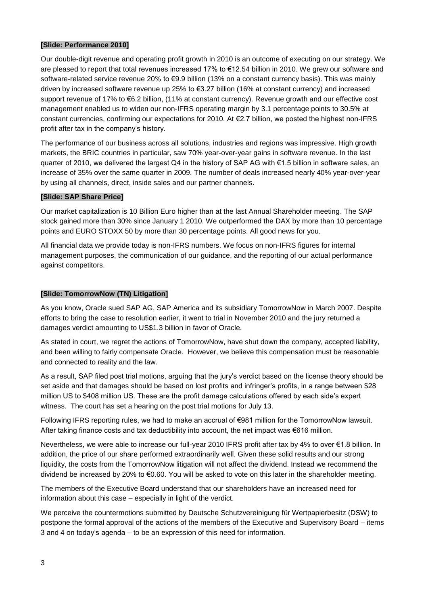### **[Slide: Performance 2010]**

Our double-digit revenue and operating profit growth in 2010 is an outcome of executing on our strategy. We are pleased to report that total revenues increased 17% to €12.54 billion in 2010. We grew our software and software-related service revenue 20% to €9.9 billion (13% on a constant currency basis). This was mainly driven by increased software revenue up 25% to €3.27 billion (16% at constant currency) and increased support revenue of 17% to €6.2 billion, (11% at constant currency). Revenue growth and our effective cost management enabled us to widen our non-IFRS operating margin by 3.1 percentage points to 30.5% at constant currencies, confirming our expectations for 2010. At €2.7 billion, we posted the highest non-IFRS profit after tax in the company's history.

The performance of our business across all solutions, industries and regions was impressive. High growth markets, the BRIC countries in particular, saw 70% year-over-year gains in software revenue. In the last quarter of 2010, we delivered the largest Q4 in the history of SAP AG with €1.5 billion in software sales, an increase of 35% over the same quarter in 2009. The number of deals increased nearly 40% year-over-year by using all channels, direct, inside sales and our partner channels.

## **[Slide: SAP Share Price]**

Our market capitalization is 10 Billion Euro higher than at the last Annual Shareholder meeting. The SAP stock gained more than 30% since January 1 2010. We outperformed the DAX by more than 10 percentage points and EURO STOXX 50 by more than 30 percentage points. All good news for you.

All financial data we provide today is non-IFRS numbers. We focus on non-IFRS figures for internal management purposes, the communication of our guidance, and the reporting of our actual performance against competitors.

## **[Slide: TomorrowNow (TN) Litigation]**

As you know, Oracle sued SAP AG, SAP America and its subsidiary TomorrowNow in March 2007. Despite efforts to bring the case to resolution earlier, it went to trial in November 2010 and the jury returned a damages verdict amounting to US\$1.3 billion in favor of Oracle.

As stated in court, we regret the actions of TomorrowNow, have shut down the company, accepted liability, and been willing to fairly compensate Oracle. However, we believe this compensation must be reasonable and connected to reality and the law.

As a result, SAP filed post trial motions, arguing that the jury's verdict based on the license theory should be set aside and that damages should be based on lost profits and infringer's profits, in a range between \$28 million US to \$408 million US. These are the profit damage calculations offered by each side's expert witness. The court has set a hearing on the post trial motions for July 13.

Following IFRS reporting rules, we had to make an accrual of €981 million for the TomorrowNow lawsuit. After taking finance costs and tax deductibility into account, the net impact was €616 million.

Nevertheless, we were able to increase our full-year 2010 IFRS profit after tax by 4% to over €1.8 billion. In addition, the price of our share performed extraordinarily well. Given these solid results and our strong liquidity, the costs from the TomorrowNow litigation will not affect the dividend. Instead we recommend the dividend be increased by 20% to €0.60. You will be asked to vote on this later in the shareholder meeting.

The members of the Executive Board understand that our shareholders have an increased need for information about this case – especially in light of the verdict.

We perceive the countermotions submitted by Deutsche Schutzvereinigung für Wertpapierbesitz (DSW) to postpone the formal approval of the actions of the members of the Executive and Supervisory Board – items 3 and 4 on today's agenda – to be an expression of this need for information.